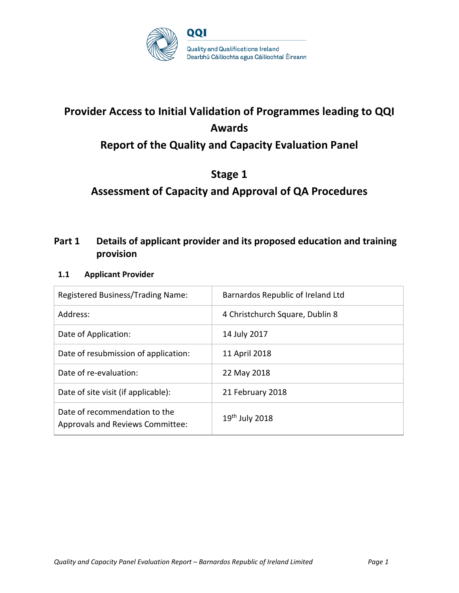

# **Provider Access to Initial Validation of Programmes leading to QQI Awards**

# **Report of the Quality and Capacity Evaluation Panel**

# **Stage 1**

# **Assessment of Capacity and Approval of QA Procedures**

# **Part 1 Details of applicant provider and its proposed education and training provision**

#### **1.1 Applicant Provider**

| Registered Business/Trading Name:                                        | Barnardos Republic of Ireland Ltd |
|--------------------------------------------------------------------------|-----------------------------------|
| Address:                                                                 | 4 Christchurch Square, Dublin 8   |
| Date of Application:                                                     | 14 July 2017                      |
| Date of resubmission of application:                                     | 11 April 2018                     |
| Date of re-evaluation:                                                   | 22 May 2018                       |
| Date of site visit (if applicable):                                      | 21 February 2018                  |
| Date of recommendation to the<br><b>Approvals and Reviews Committee:</b> | $19th$ July 2018                  |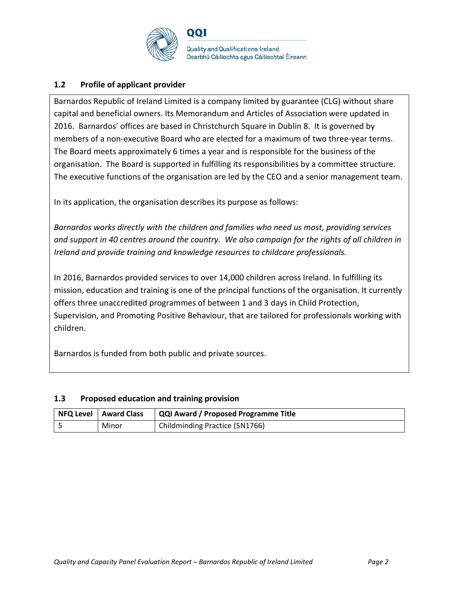

#### **1.2 Profile of applicant provider**

Barnardos Republic of Ireland Limited is a company limited by guarantee (CLG) without share capital and beneficial owners. Its Memorandum and Articles of Association were updated in 2016. Barnardos' offices are based in Christchurch Square in Dublin 8. It is governed by members of a non-executive Board who are elected for a maximum of two three-year terms. The Board meets approximately 6 times a year and is responsible for the business of the organisation. The Board is supported in fulfilling its responsibilities by a committee structure. The executive functions of the organisation are led by the CEO and a senior management team.

In its application, the organisation describes its purpose as follows:

*Barnardos works directly with the children and families who need us most, providing services and support in 40 centres around the country. We also campaign for the rights of all children in Ireland and provide training and knowledge resources to childcare professionals.*

In 2016, Barnardos provided services to over 14,000 children across Ireland. In fulfilling its mission, education and training is one of the principal functions of the organisation. It currently offers three unaccredited programmes of between 1 and 3 days in Child Protection, Supervision, and Promoting Positive Behaviour, that are tailored for professionals working with children.

Barnardos is funded from both public and private sources.

#### **1.3 Proposed education and training provision**

| NFQ Level   Award Class | QQI Award / Proposed Programme Title |
|-------------------------|--------------------------------------|
| Minor                   | Childminding Practice (5N1766)       |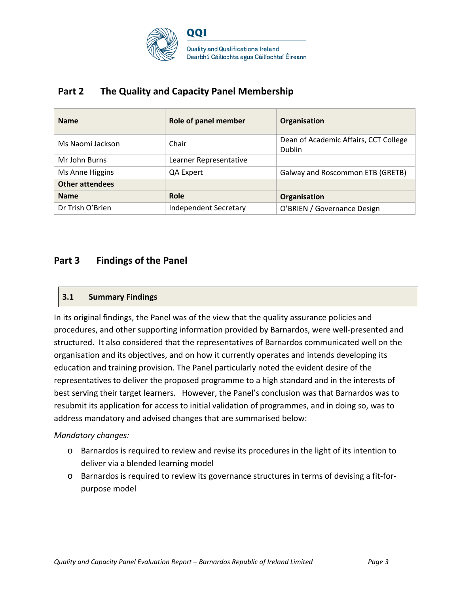

# **Part 2 The Quality and Capacity Panel Membership**

| <b>Name</b>            | Role of panel member         | Organisation                                           |
|------------------------|------------------------------|--------------------------------------------------------|
| Ms Naomi Jackson       | Chair                        | Dean of Academic Affairs, CCT College<br><b>Dublin</b> |
| Mr John Burns          | Learner Representative       |                                                        |
| Ms Anne Higgins        | QA Expert                    | Galway and Roscommon ETB (GRETB)                       |
| <b>Other attendees</b> |                              |                                                        |
| <b>Name</b>            | <b>Role</b>                  | Organisation                                           |
| Dr Trish O'Brien       | <b>Independent Secretary</b> | O'BRIEN / Governance Design                            |

# **Part 3 Findings of the Panel**

#### **3.1 Summary Findings**

In its original findings, the Panel was of the view that the quality assurance policies and procedures, and other supporting information provided by Barnardos, were well-presented and structured. It also considered that the representatives of Barnardos communicated well on the organisation and its objectives, and on how it currently operates and intends developing its education and training provision. The Panel particularly noted the evident desire of the representatives to deliver the proposed programme to a high standard and in the interests of best serving their target learners. However, the Panel's conclusion was that Barnardos was to resubmit its application for access to initial validation of programmes, and in doing so, was to address mandatory and advised changes that are summarised below:

#### *Mandatory changes:*

- o Barnardos is required to review and revise its procedures in the light of its intention to deliver via a blended learning model
- o Barnardos is required to review its governance structures in terms of devising a fit-forpurpose model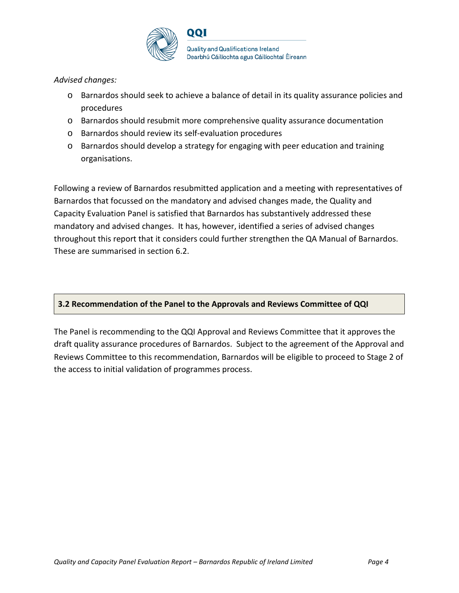

#### *Advised changes:*

- o Barnardos should seek to achieve a balance of detail in its quality assurance policies and procedures
- o Barnardos should resubmit more comprehensive quality assurance documentation
- o Barnardos should review its self-evaluation procedures
- o Barnardos should develop a strategy for engaging with peer education and training organisations.

Following a review of Barnardos resubmitted application and a meeting with representatives of Barnardos that focussed on the mandatory and advised changes made, the Quality and Capacity Evaluation Panel is satisfied that Barnardos has substantively addressed these mandatory and advised changes. It has, however, identified a series of advised changes throughout this report that it considers could further strengthen the QA Manual of Barnardos. These are summarised in section 6.2.

#### **3.2 Recommendation of the Panel to the Approvals and Reviews Committee of QQI**

The Panel is recommending to the QQI Approval and Reviews Committee that it approves the draft quality assurance procedures of Barnardos. Subject to the agreement of the Approval and Reviews Committee to this recommendation, Barnardos will be eligible to proceed to Stage 2 of the access to initial validation of programmes process.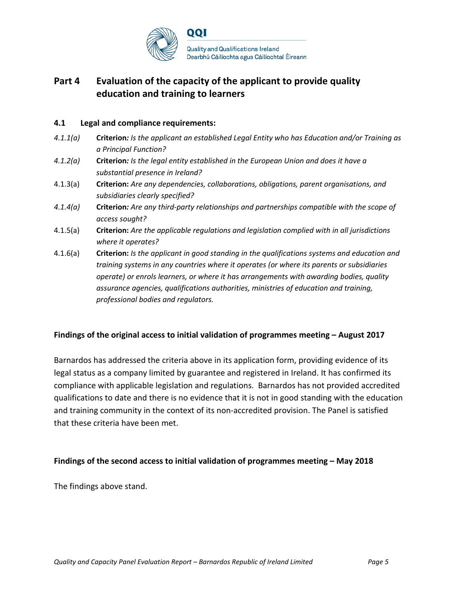

# **Part 4 Evaluation of the capacity of the applicant to provide quality education and training to learners**

#### **4.1 Legal and compliance requirements:**

- *4.1.1(a)* **Criterion***: Is the applicant an established Legal Entity who has Education and/or Training as a Principal Function?*
- *4.1.2(a)* **Criterion***: Is the legal entity established in the European Union and does it have a substantial presence in Ireland?*
- 4.1.3(a) **Criterion:** *Are any dependencies, collaborations, obligations, parent organisations, and subsidiaries clearly specified?*
- *4.1.4(a)* **Criterion***: Are any third-party relationships and partnerships compatible with the scope of access sought?*
- 4.1.5(a) **Criterion:** *Are the applicable regulations and legislation complied with in all jurisdictions where it operates?*
- 4.1.6(a) **Criterion:** *Is the applicant in good standing in the qualifications systems and education and training systems in any countries where it operates (or where its parents or subsidiaries operate) or enrols learners, or where it has arrangements with awarding bodies, quality assurance agencies, qualifications authorities, ministries of education and training, professional bodies and regulators.*

#### **Findings of the original access to initial validation of programmes meeting – August 2017**

Barnardos has addressed the criteria above in its application form, providing evidence of its legal status as a company limited by guarantee and registered in Ireland. It has confirmed its compliance with applicable legislation and regulations. Barnardos has not provided accredited qualifications to date and there is no evidence that it is not in good standing with the education and training community in the context of its non-accredited provision. The Panel is satisfied that these criteria have been met.

#### **Findings of the second access to initial validation of programmes meeting – May 2018**

The findings above stand.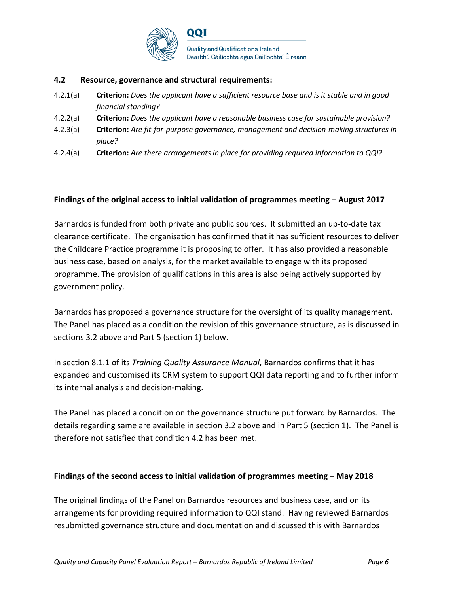

#### **4.2 Resource, governance and structural requirements:**

- 4.2.1(a) **Criterion:** *Does the applicant have a sufficient resource base and is it stable and in good financial standing?*
- 4.2.2(a) **Criterion:** *Does the applicant have a reasonable business case for sustainable provision?*
- 4.2.3(a) **Criterion:** *Are fit-for-purpose governance, management and decision-making structures in place?*
- 4.2.4(a) **Criterion:** *Are there arrangements in place for providing required information to QQI?*

#### **Findings of the original access to initial validation of programmes meeting – August 2017**

Barnardos is funded from both private and public sources. It submitted an up-to-date tax clearance certificate. The organisation has confirmed that it has sufficient resources to deliver the Childcare Practice programme it is proposing to offer. It has also provided a reasonable business case, based on analysis, for the market available to engage with its proposed programme. The provision of qualifications in this area is also being actively supported by government policy.

Barnardos has proposed a governance structure for the oversight of its quality management. The Panel has placed as a condition the revision of this governance structure, as is discussed in sections 3.2 above and Part 5 (section 1) below.

In section 8.1.1 of its *Training Quality Assurance Manual*, Barnardos confirms that it has expanded and customised its CRM system to support QQI data reporting and to further inform its internal analysis and decision-making.

The Panel has placed a condition on the governance structure put forward by Barnardos. The details regarding same are available in section 3.2 above and in Part 5 (section 1). The Panel is therefore not satisfied that condition 4.2 has been met.

#### **Findings of the second access to initial validation of programmes meeting – May 2018**

The original findings of the Panel on Barnardos resources and business case, and on its arrangements for providing required information to QQI stand. Having reviewed Barnardos resubmitted governance structure and documentation and discussed this with Barnardos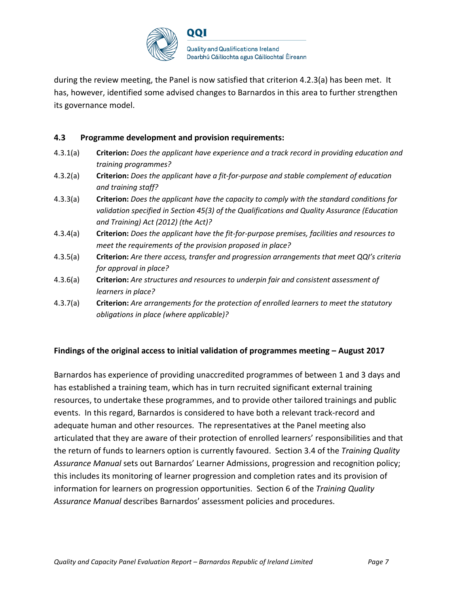

during the review meeting, the Panel is now satisfied that criterion 4.2.3(a) has been met. It has, however, identified some advised changes to Barnardos in this area to further strengthen its governance model.

#### **4.3 Programme development and provision requirements:**

- 4.3.1(a) **Criterion:** *Does the applicant have experience and a track record in providing education and training programmes?*
- 4.3.2(a) **Criterion:** *Does the applicant have a fit-for-purpose and stable complement of education and training staff?*
- 4.3.3(a) **Criterion:** *Does the applicant have the capacity to comply with the standard conditions for validation specified in Section 45(3) of the Qualifications and Quality Assurance (Education and Training) Act (2012) (the Act)?*
- 4.3.4(a) **Criterion:** *Does the applicant have the fit-for-purpose premises, facilities and resources to meet the requirements of the provision proposed in place?*
- 4.3.5(a) **Criterion:** *Are there access, transfer and progression arrangements that meet QQI's criteria for approval in place?*
- 4.3.6(a) **Criterion:** *Are structures and resources to underpin fair and consistent assessment of learners in place?*
- 4.3.7(a) **Criterion:** *Are arrangements for the protection of enrolled learners to meet the statutory obligations in place (where applicable)?*

#### **Findings of the original access to initial validation of programmes meeting – August 2017**

Barnardos has experience of providing unaccredited programmes of between 1 and 3 days and has established a training team, which has in turn recruited significant external training resources, to undertake these programmes, and to provide other tailored trainings and public events. In this regard, Barnardos is considered to have both a relevant track-record and adequate human and other resources. The representatives at the Panel meeting also articulated that they are aware of their protection of enrolled learners' responsibilities and that the return of funds to learners option is currently favoured. Section 3.4 of the *Training Quality Assurance Manual* sets out Barnardos' Learner Admissions, progression and recognition policy; this includes its monitoring of learner progression and completion rates and its provision of information for learners on progression opportunities. Section 6 of the *Training Quality Assurance Manual* describes Barnardos' assessment policies and procedures.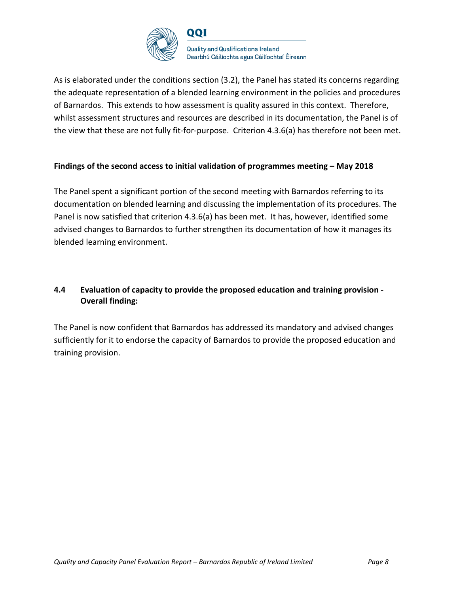

As is elaborated under the conditions section (3.2), the Panel has stated its concerns regarding the adequate representation of a blended learning environment in the policies and procedures of Barnardos. This extends to how assessment is quality assured in this context. Therefore, whilst assessment structures and resources are described in its documentation, the Panel is of the view that these are not fully fit-for-purpose. Criterion 4.3.6(a) has therefore not been met.

#### **Findings of the second access to initial validation of programmes meeting – May 2018**

The Panel spent a significant portion of the second meeting with Barnardos referring to its documentation on blended learning and discussing the implementation of its procedures. The Panel is now satisfied that criterion 4.3.6(a) has been met. It has, however, identified some advised changes to Barnardos to further strengthen its documentation of how it manages its blended learning environment.

## **4.4 Evaluation of capacity to provide the proposed education and training provision - Overall finding:**

The Panel is now confident that Barnardos has addressed its mandatory and advised changes sufficiently for it to endorse the capacity of Barnardos to provide the proposed education and training provision.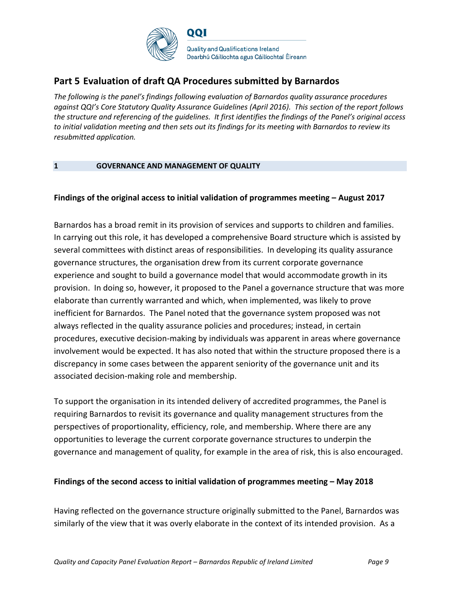

# **Part 5 Evaluation of draft QA Procedures submitted by Barnardos**

*The following is the panel's findings following evaluation of Barnardos quality assurance procedures against QQI's Core Statutory Quality Assurance Guidelines (April 2016). This section of the report follows the structure and referencing of the guidelines. It first identifies the findings of the Panel's original access to initial validation meeting and then sets out its findings for its meeting with Barnardos to review its resubmitted application.* 

#### **1 GOVERNANCE AND MANAGEMENT OF QUALITY**

#### **Findings of the original access to initial validation of programmes meeting – August 2017**

Barnardos has a broad remit in its provision of services and supports to children and families. In carrying out this role, it has developed a comprehensive Board structure which is assisted by several committees with distinct areas of responsibilities. In developing its quality assurance governance structures, the organisation drew from its current corporate governance experience and sought to build a governance model that would accommodate growth in its provision. In doing so, however, it proposed to the Panel a governance structure that was more elaborate than currently warranted and which, when implemented, was likely to prove inefficient for Barnardos. The Panel noted that the governance system proposed was not always reflected in the quality assurance policies and procedures; instead, in certain procedures, executive decision-making by individuals was apparent in areas where governance involvement would be expected. It has also noted that within the structure proposed there is a discrepancy in some cases between the apparent seniority of the governance unit and its associated decision-making role and membership.

To support the organisation in its intended delivery of accredited programmes, the Panel is requiring Barnardos to revisit its governance and quality management structures from the perspectives of proportionality, efficiency, role, and membership. Where there are any opportunities to leverage the current corporate governance structures to underpin the governance and management of quality, for example in the area of risk, this is also encouraged.

#### **Findings of the second access to initial validation of programmes meeting – May 2018**

Having reflected on the governance structure originally submitted to the Panel, Barnardos was similarly of the view that it was overly elaborate in the context of its intended provision. As a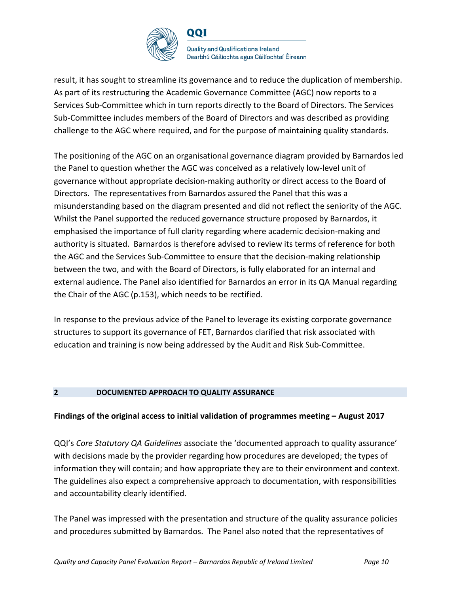

**Quality and Qualifications Ireland** Dearbhú Cáilíochta agus Cáilíochtaí Éireann

result, it has sought to streamline its governance and to reduce the duplication of membership. As part of its restructuring the Academic Governance Committee (AGC) now reports to a Services Sub-Committee which in turn reports directly to the Board of Directors. The Services Sub-Committee includes members of the Board of Directors and was described as providing challenge to the AGC where required, and for the purpose of maintaining quality standards.

The positioning of the AGC on an organisational governance diagram provided by Barnardos led the Panel to question whether the AGC was conceived as a relatively low-level unit of governance without appropriate decision-making authority or direct access to the Board of Directors. The representatives from Barnardos assured the Panel that this was a misunderstanding based on the diagram presented and did not reflect the seniority of the AGC. Whilst the Panel supported the reduced governance structure proposed by Barnardos, it emphasised the importance of full clarity regarding where academic decision-making and authority is situated. Barnardos is therefore advised to review its terms of reference for both the AGC and the Services Sub-Committee to ensure that the decision-making relationship between the two, and with the Board of Directors, is fully elaborated for an internal and external audience. The Panel also identified for Barnardos an error in its QA Manual regarding the Chair of the AGC (p.153), which needs to be rectified.

In response to the previous advice of the Panel to leverage its existing corporate governance structures to support its governance of FET, Barnardos clarified that risk associated with education and training is now being addressed by the Audit and Risk Sub-Committee.

#### **2 DOCUMENTED APPROACH TO QUALITY ASSURANCE**

#### **Findings of the original access to initial validation of programmes meeting – August 2017**

QQI's *Core Statutory QA Guidelines* associate the 'documented approach to quality assurance' with decisions made by the provider regarding how procedures are developed; the types of information they will contain; and how appropriate they are to their environment and context. The guidelines also expect a comprehensive approach to documentation, with responsibilities and accountability clearly identified.

The Panel was impressed with the presentation and structure of the quality assurance policies and procedures submitted by Barnardos. The Panel also noted that the representatives of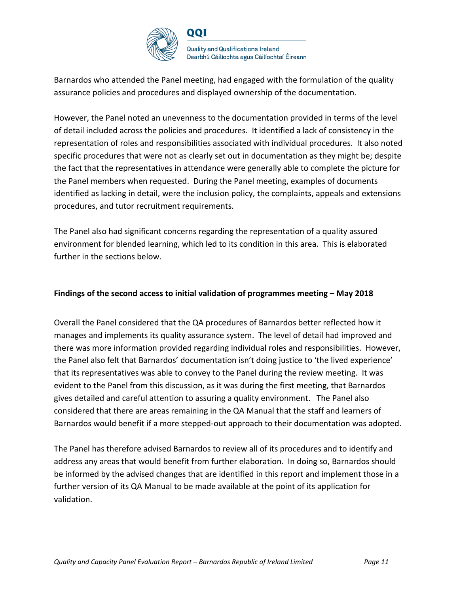

Barnardos who attended the Panel meeting, had engaged with the formulation of the quality assurance policies and procedures and displayed ownership of the documentation.

However, the Panel noted an unevenness to the documentation provided in terms of the level of detail included across the policies and procedures. It identified a lack of consistency in the representation of roles and responsibilities associated with individual procedures. It also noted specific procedures that were not as clearly set out in documentation as they might be; despite the fact that the representatives in attendance were generally able to complete the picture for the Panel members when requested. During the Panel meeting, examples of documents identified as lacking in detail, were the inclusion policy, the complaints, appeals and extensions procedures, and tutor recruitment requirements.

The Panel also had significant concerns regarding the representation of a quality assured environment for blended learning, which led to its condition in this area. This is elaborated further in the sections below.

#### **Findings of the second access to initial validation of programmes meeting – May 2018**

Overall the Panel considered that the QA procedures of Barnardos better reflected how it manages and implements its quality assurance system. The level of detail had improved and there was more information provided regarding individual roles and responsibilities. However, the Panel also felt that Barnardos' documentation isn't doing justice to 'the lived experience' that its representatives was able to convey to the Panel during the review meeting. It was evident to the Panel from this discussion, as it was during the first meeting, that Barnardos gives detailed and careful attention to assuring a quality environment. The Panel also considered that there are areas remaining in the QA Manual that the staff and learners of Barnardos would benefit if a more stepped-out approach to their documentation was adopted.

The Panel has therefore advised Barnardos to review all of its procedures and to identify and address any areas that would benefit from further elaboration. In doing so, Barnardos should be informed by the advised changes that are identified in this report and implement those in a further version of its QA Manual to be made available at the point of its application for validation.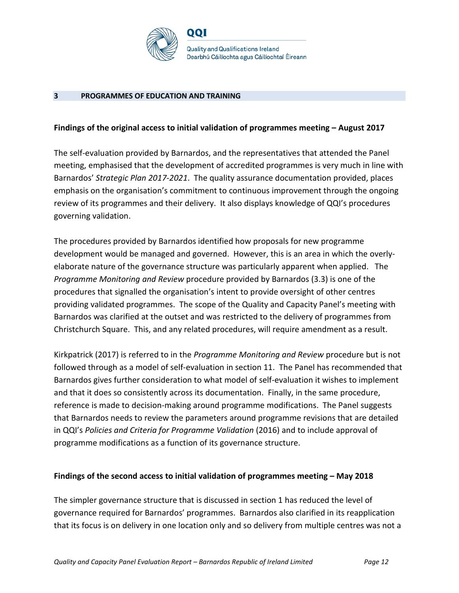

#### **3 PROGRAMMES OF EDUCATION AND TRAINING**

#### **Findings of the original access to initial validation of programmes meeting – August 2017**

The self-evaluation provided by Barnardos, and the representatives that attended the Panel meeting, emphasised that the development of accredited programmes is very much in line with Barnardos' *Strategic Plan 2017-2021*. The quality assurance documentation provided, places emphasis on the organisation's commitment to continuous improvement through the ongoing review of its programmes and their delivery. It also displays knowledge of QQI's procedures governing validation.

The procedures provided by Barnardos identified how proposals for new programme development would be managed and governed. However, this is an area in which the overlyelaborate nature of the governance structure was particularly apparent when applied. The *Programme Monitoring and Review* procedure provided by Barnardos (3.3) is one of the procedures that signalled the organisation's intent to provide oversight of other centres providing validated programmes. The scope of the Quality and Capacity Panel's meeting with Barnardos was clarified at the outset and was restricted to the delivery of programmes from Christchurch Square. This, and any related procedures, will require amendment as a result.

Kirkpatrick (2017) is referred to in the *Programme Monitoring and Review* procedure but is not followed through as a model of self-evaluation in section 11. The Panel has recommended that Barnardos gives further consideration to what model of self-evaluation it wishes to implement and that it does so consistently across its documentation. Finally, in the same procedure, reference is made to decision-making around programme modifications. The Panel suggests that Barnardos needs to review the parameters around programme revisions that are detailed in QQI's *Policies and Criteria for Programme Validation* (2016) and to include approval of programme modifications as a function of its governance structure.

#### **Findings of the second access to initial validation of programmes meeting – May 2018**

The simpler governance structure that is discussed in section 1 has reduced the level of governance required for Barnardos' programmes. Barnardos also clarified in its reapplication that its focus is on delivery in one location only and so delivery from multiple centres was not a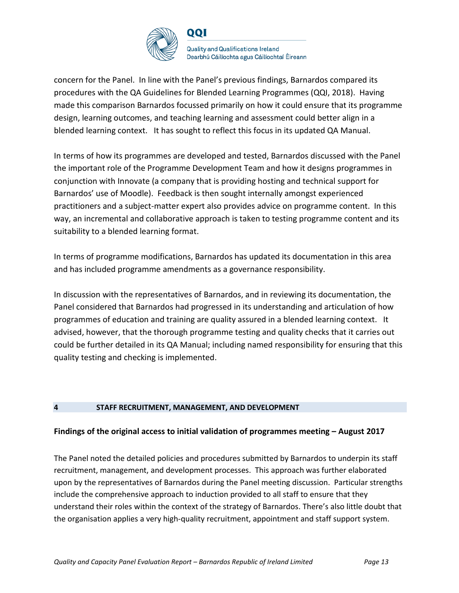

**Quality and Qualifications Ireland** Dearbhú Cáilíochta agus Cáilíochtaí Éireann

concern for the Panel. In line with the Panel's previous findings, Barnardos compared its procedures with the QA Guidelines for Blended Learning Programmes (QQI, 2018). Having made this comparison Barnardos focussed primarily on how it could ensure that its programme design, learning outcomes, and teaching learning and assessment could better align in a blended learning context. It has sought to reflect this focus in its updated QA Manual.

In terms of how its programmes are developed and tested, Barnardos discussed with the Panel the important role of the Programme Development Team and how it designs programmes in conjunction with Innovate (a company that is providing hosting and technical support for Barnardos' use of Moodle). Feedback is then sought internally amongst experienced practitioners and a subject-matter expert also provides advice on programme content. In this way, an incremental and collaborative approach is taken to testing programme content and its suitability to a blended learning format.

In terms of programme modifications, Barnardos has updated its documentation in this area and has included programme amendments as a governance responsibility.

In discussion with the representatives of Barnardos, and in reviewing its documentation, the Panel considered that Barnardos had progressed in its understanding and articulation of how programmes of education and training are quality assured in a blended learning context. It advised, however, that the thorough programme testing and quality checks that it carries out could be further detailed in its QA Manual; including named responsibility for ensuring that this quality testing and checking is implemented.

#### **4 STAFF RECRUITMENT, MANAGEMENT, AND DEVELOPMENT**

#### **Findings of the original access to initial validation of programmes meeting – August 2017**

The Panel noted the detailed policies and procedures submitted by Barnardos to underpin its staff recruitment, management, and development processes. This approach was further elaborated upon by the representatives of Barnardos during the Panel meeting discussion. Particular strengths include the comprehensive approach to induction provided to all staff to ensure that they understand their roles within the context of the strategy of Barnardos. There's also little doubt that the organisation applies a very high-quality recruitment, appointment and staff support system.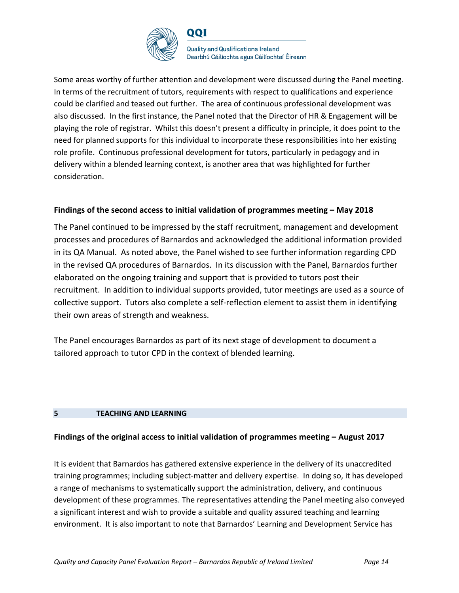

QQI

**Quality and Qualifications Ireland** Dearbhú Cáilíochta agus Cáilíochtaí Éireann

Some areas worthy of further attention and development were discussed during the Panel meeting. In terms of the recruitment of tutors, requirements with respect to qualifications and experience could be clarified and teased out further. The area of continuous professional development was also discussed. In the first instance, the Panel noted that the Director of HR & Engagement will be playing the role of registrar. Whilst this doesn't present a difficulty in principle, it does point to the need for planned supports for this individual to incorporate these responsibilities into her existing role profile. Continuous professional development for tutors, particularly in pedagogy and in delivery within a blended learning context, is another area that was highlighted for further consideration.

#### **Findings of the second access to initial validation of programmes meeting – May 2018**

The Panel continued to be impressed by the staff recruitment, management and development processes and procedures of Barnardos and acknowledged the additional information provided in its QA Manual. As noted above, the Panel wished to see further information regarding CPD in the revised QA procedures of Barnardos. In its discussion with the Panel, Barnardos further elaborated on the ongoing training and support that is provided to tutors post their recruitment. In addition to individual supports provided, tutor meetings are used as a source of collective support. Tutors also complete a self-reflection element to assist them in identifying their own areas of strength and weakness.

The Panel encourages Barnardos as part of its next stage of development to document a tailored approach to tutor CPD in the context of blended learning.

#### **5 TEACHING AND LEARNING**

#### **Findings of the original access to initial validation of programmes meeting – August 2017**

It is evident that Barnardos has gathered extensive experience in the delivery of its unaccredited training programmes; including subject-matter and delivery expertise. In doing so, it has developed a range of mechanisms to systematically support the administration, delivery, and continuous development of these programmes. The representatives attending the Panel meeting also conveyed a significant interest and wish to provide a suitable and quality assured teaching and learning environment. It is also important to note that Barnardos' Learning and Development Service has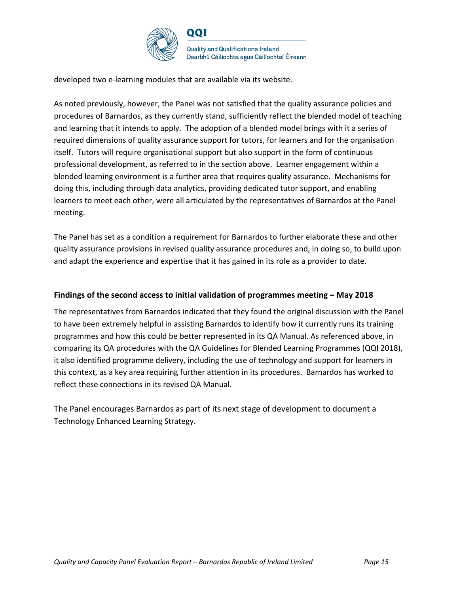

developed two e-learning modules that are available via its website.

As noted previously, however, the Panel was not satisfied that the quality assurance policies and procedures of Barnardos, as they currently stand, sufficiently reflect the blended model of teaching and learning that it intends to apply. The adoption of a blended model brings with it a series of required dimensions of quality assurance support for tutors, for learners and for the organisation itself. Tutors will require organisational support but also support in the form of continuous professional development, as referred to in the section above. Learner engagement within a blended learning environment is a further area that requires quality assurance. Mechanisms for doing this, including through data analytics, providing dedicated tutor support, and enabling learners to meet each other, were all articulated by the representatives of Barnardos at the Panel meeting.

The Panel has set as a condition a requirement for Barnardos to further elaborate these and other quality assurance provisions in revised quality assurance procedures and, in doing so, to build upon and adapt the experience and expertise that it has gained in its role as a provider to date.

#### **Findings of the second access to initial validation of programmes meeting – May 2018**

The representatives from Barnardos indicated that they found the original discussion with the Panel to have been extremely helpful in assisting Barnardos to identify how it currently runs its training programmes and how this could be better represented in its QA Manual. As referenced above, in comparing its QA procedures with the QA Guidelines for Blended Learning Programmes (QQI 2018), it also identified programme delivery, including the use of technology and support for learners in this context, as a key area requiring further attention in its procedures. Barnardos has worked to reflect these connections in its revised QA Manual.

The Panel encourages Barnardos as part of its next stage of development to document a Technology Enhanced Learning Strategy.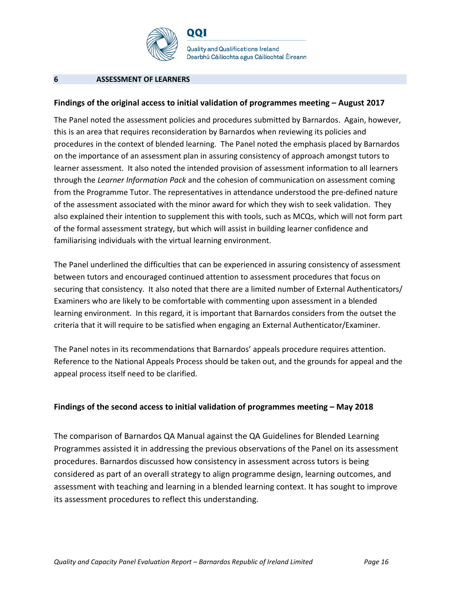

QQI

**Quality and Qualifications Ireland** Dearbhú Cáilíochta agus Cáilíochtaí Éireann

#### **6 ASSESSMENT OF LEARNERS**

#### **Findings of the original access to initial validation of programmes meeting – August 2017**

The Panel noted the assessment policies and procedures submitted by Barnardos. Again, however, this is an area that requires reconsideration by Barnardos when reviewing its policies and procedures in the context of blended learning. The Panel noted the emphasis placed by Barnardos on the importance of an assessment plan in assuring consistency of approach amongst tutors to learner assessment. It also noted the intended provision of assessment information to all learners through the *Learner Information Pack* and the cohesion of communication on assessment coming from the Programme Tutor. The representatives in attendance understood the pre-defined nature of the assessment associated with the minor award for which they wish to seek validation. They also explained their intention to supplement this with tools, such as MCQs, which will not form part of the formal assessment strategy, but which will assist in building learner confidence and familiarising individuals with the virtual learning environment.

The Panel underlined the difficulties that can be experienced in assuring consistency of assessment between tutors and encouraged continued attention to assessment procedures that focus on securing that consistency. It also noted that there are a limited number of External Authenticators/ Examiners who are likely to be comfortable with commenting upon assessment in a blended learning environment. In this regard, it is important that Barnardos considers from the outset the criteria that it will require to be satisfied when engaging an External Authenticator/Examiner.

The Panel notes in its recommendations that Barnardos' appeals procedure requires attention. Reference to the National Appeals Process should be taken out, and the grounds for appeal and the appeal process itself need to be clarified.

#### **Findings of the second access to initial validation of programmes meeting – May 2018**

The comparison of Barnardos QA Manual against the QA Guidelines for Blended Learning Programmes assisted it in addressing the previous observations of the Panel on its assessment procedures. Barnardos discussed how consistency in assessment across tutors is being considered as part of an overall strategy to align programme design, learning outcomes, and assessment with teaching and learning in a blended learning context. It has sought to improve its assessment procedures to reflect this understanding.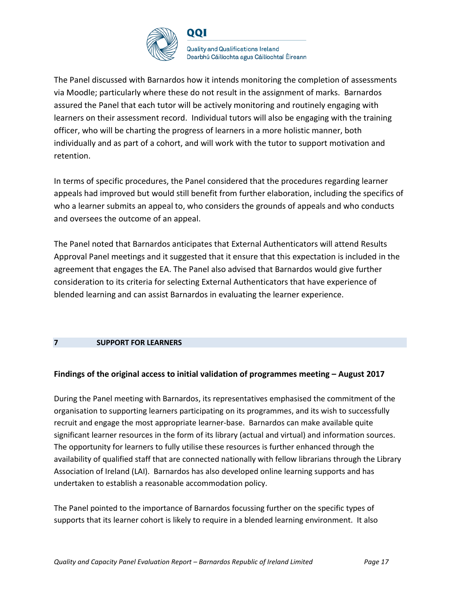

**Quality and Qualifications Ireland** Dearbhú Cáilíochta agus Cáilíochtaí Éireann

The Panel discussed with Barnardos how it intends monitoring the completion of assessments via Moodle; particularly where these do not result in the assignment of marks. Barnardos assured the Panel that each tutor will be actively monitoring and routinely engaging with learners on their assessment record. Individual tutors will also be engaging with the training officer, who will be charting the progress of learners in a more holistic manner, both individually and as part of a cohort, and will work with the tutor to support motivation and retention.

In terms of specific procedures, the Panel considered that the procedures regarding learner appeals had improved but would still benefit from further elaboration, including the specifics of who a learner submits an appeal to, who considers the grounds of appeals and who conducts and oversees the outcome of an appeal.

The Panel noted that Barnardos anticipates that External Authenticators will attend Results Approval Panel meetings and it suggested that it ensure that this expectation is included in the agreement that engages the EA. The Panel also advised that Barnardos would give further consideration to its criteria for selecting External Authenticators that have experience of blended learning and can assist Barnardos in evaluating the learner experience.

#### **7 SUPPORT FOR LEARNERS**

#### **Findings of the original access to initial validation of programmes meeting – August 2017**

During the Panel meeting with Barnardos, its representatives emphasised the commitment of the organisation to supporting learners participating on its programmes, and its wish to successfully recruit and engage the most appropriate learner-base. Barnardos can make available quite significant learner resources in the form of its library (actual and virtual) and information sources. The opportunity for learners to fully utilise these resources is further enhanced through the availability of qualified staff that are connected nationally with fellow librarians through the Library Association of Ireland (LAI). Barnardos has also developed online learning supports and has undertaken to establish a reasonable accommodation policy.

The Panel pointed to the importance of Barnardos focussing further on the specific types of supports that its learner cohort is likely to require in a blended learning environment. It also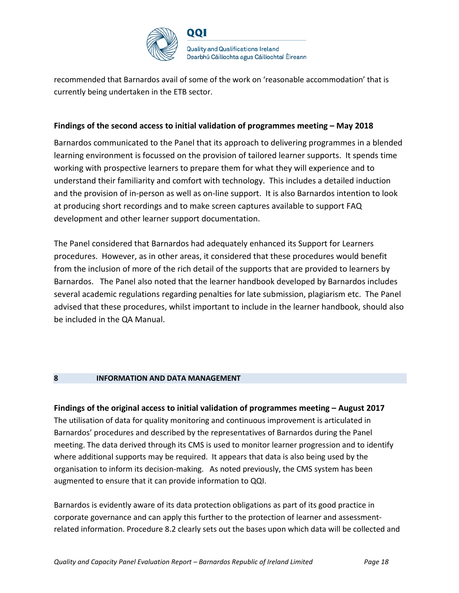

recommended that Barnardos avail of some of the work on 'reasonable accommodation' that is currently being undertaken in the ETB sector.

#### **Findings of the second access to initial validation of programmes meeting – May 2018**

Barnardos communicated to the Panel that its approach to delivering programmes in a blended learning environment is focussed on the provision of tailored learner supports. It spends time working with prospective learners to prepare them for what they will experience and to understand their familiarity and comfort with technology. This includes a detailed induction and the provision of in-person as well as on-line support. It is also Barnardos intention to look at producing short recordings and to make screen captures available to support FAQ development and other learner support documentation.

The Panel considered that Barnardos had adequately enhanced its Support for Learners procedures. However, as in other areas, it considered that these procedures would benefit from the inclusion of more of the rich detail of the supports that are provided to learners by Barnardos. The Panel also noted that the learner handbook developed by Barnardos includes several academic regulations regarding penalties for late submission, plagiarism etc. The Panel advised that these procedures, whilst important to include in the learner handbook, should also be included in the QA Manual.

#### **8 INFORMATION AND DATA MANAGEMENT**

**Findings of the original access to initial validation of programmes meeting – August 2017** The utilisation of data for quality monitoring and continuous improvement is articulated in Barnardos' procedures and described by the representatives of Barnardos during the Panel meeting. The data derived through its CMS is used to monitor learner progression and to identify where additional supports may be required. It appears that data is also being used by the organisation to inform its decision-making. As noted previously, the CMS system has been augmented to ensure that it can provide information to QQI.

Barnardos is evidently aware of its data protection obligations as part of its good practice in corporate governance and can apply this further to the protection of learner and assessmentrelated information. Procedure 8.2 clearly sets out the bases upon which data will be collected and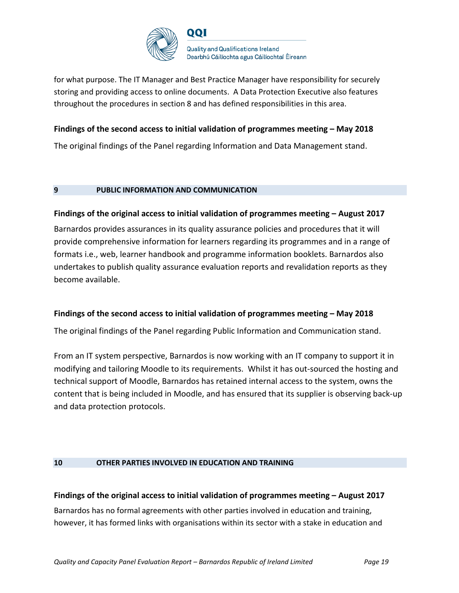

for what purpose. The IT Manager and Best Practice Manager have responsibility for securely storing and providing access to online documents. A Data Protection Executive also features throughout the procedures in section 8 and has defined responsibilities in this area.

#### **Findings of the second access to initial validation of programmes meeting – May 2018**

The original findings of the Panel regarding Information and Data Management stand.

#### **9 PUBLIC INFORMATION AND COMMUNICATION**

#### **Findings of the original access to initial validation of programmes meeting – August 2017**

Barnardos provides assurances in its quality assurance policies and procedures that it will provide comprehensive information for learners regarding its programmes and in a range of formats i.e., web, learner handbook and programme information booklets. Barnardos also undertakes to publish quality assurance evaluation reports and revalidation reports as they become available.

#### **Findings of the second access to initial validation of programmes meeting – May 2018**

The original findings of the Panel regarding Public Information and Communication stand.

From an IT system perspective, Barnardos is now working with an IT company to support it in modifying and tailoring Moodle to its requirements. Whilst it has out-sourced the hosting and technical support of Moodle, Barnardos has retained internal access to the system, owns the content that is being included in Moodle, and has ensured that its supplier is observing back-up and data protection protocols.

#### **10 OTHER PARTIES INVOLVED IN EDUCATION AND TRAINING**

# **Findings of the original access to initial validation of programmes meeting – August 2017** Barnardos has no formal agreements with other parties involved in education and training,

however, it has formed links with organisations within its sector with a stake in education and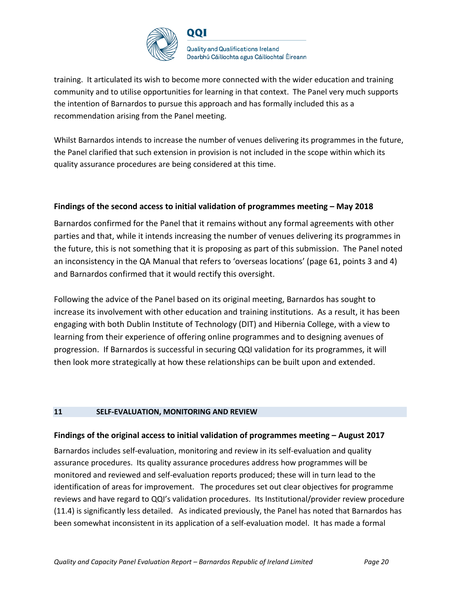

training. It articulated its wish to become more connected with the wider education and training community and to utilise opportunities for learning in that context. The Panel very much supports the intention of Barnardos to pursue this approach and has formally included this as a recommendation arising from the Panel meeting.

Whilst Barnardos intends to increase the number of venues delivering its programmes in the future, the Panel clarified that such extension in provision is not included in the scope within which its quality assurance procedures are being considered at this time.

#### **Findings of the second access to initial validation of programmes meeting – May 2018**

Barnardos confirmed for the Panel that it remains without any formal agreements with other parties and that, while it intends increasing the number of venues delivering its programmes in the future, this is not something that it is proposing as part of this submission. The Panel noted an inconsistency in the QA Manual that refers to 'overseas locations' (page 61, points 3 and 4) and Barnardos confirmed that it would rectify this oversight.

Following the advice of the Panel based on its original meeting, Barnardos has sought to increase its involvement with other education and training institutions. As a result, it has been engaging with both Dublin Institute of Technology (DIT) and Hibernia College, with a view to learning from their experience of offering online programmes and to designing avenues of progression. If Barnardos is successful in securing QQI validation for its programmes, it will then look more strategically at how these relationships can be built upon and extended.

#### **11 SELF-EVALUATION, MONITORING AND REVIEW**

#### **Findings of the original access to initial validation of programmes meeting – August 2017**

Barnardos includes self-evaluation, monitoring and review in its self-evaluation and quality assurance procedures. Its quality assurance procedures address how programmes will be monitored and reviewed and self-evaluation reports produced; these will in turn lead to the identification of areas for improvement. The procedures set out clear objectives for programme reviews and have regard to QQI's validation procedures. Its Institutional/provider review procedure (11.4) is significantly less detailed. As indicated previously, the Panel has noted that Barnardos has been somewhat inconsistent in its application of a self-evaluation model. It has made a formal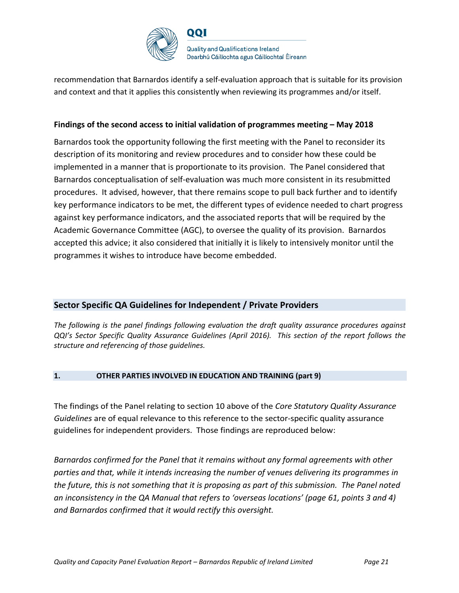

recommendation that Barnardos identify a self-evaluation approach that is suitable for its provision and context and that it applies this consistently when reviewing its programmes and/or itself.

#### **Findings of the second access to initial validation of programmes meeting – May 2018**

Barnardos took the opportunity following the first meeting with the Panel to reconsider its description of its monitoring and review procedures and to consider how these could be implemented in a manner that is proportionate to its provision. The Panel considered that Barnardos conceptualisation of self-evaluation was much more consistent in its resubmitted procedures. It advised, however, that there remains scope to pull back further and to identify key performance indicators to be met, the different types of evidence needed to chart progress against key performance indicators, and the associated reports that will be required by the Academic Governance Committee (AGC), to oversee the quality of its provision. Barnardos accepted this advice; it also considered that initially it is likely to intensively monitor until the programmes it wishes to introduce have become embedded.

#### **Sector Specific QA Guidelines for Independent / Private Providers**

*The following is the panel findings following evaluation the draft quality assurance procedures against QQI's Sector Specific Quality Assurance Guidelines (April 2016). This section of the report follows the structure and referencing of those guidelines.* 

#### **1. OTHER PARTIES INVOLVED IN EDUCATION AND TRAINING (part 9)**

The findings of the Panel relating to section 10 above of the *Core Statutory Quality Assurance Guidelines* are of equal relevance to this reference to the sector-specific quality assurance guidelines for independent providers. Those findings are reproduced below:

*Barnardos confirmed for the Panel that it remains without any formal agreements with other parties and that, while it intends increasing the number of venues delivering its programmes in the future, this is not something that it is proposing as part of this submission. The Panel noted an inconsistency in the QA Manual that refers to 'overseas locations' (page 61, points 3 and 4) and Barnardos confirmed that it would rectify this oversight.*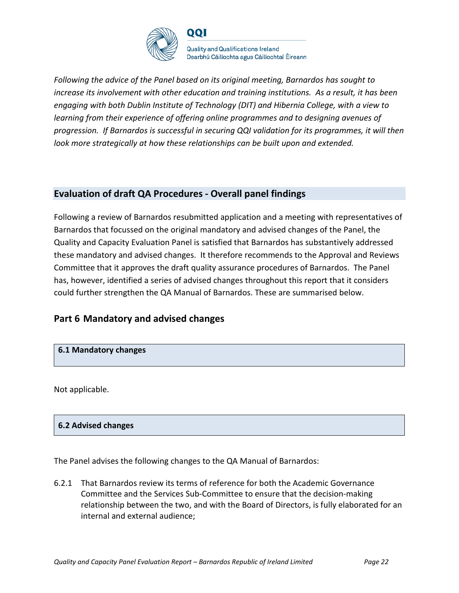

*Following the advice of the Panel based on its original meeting, Barnardos has sought to increase its involvement with other education and training institutions. As a result, it has been engaging with both Dublin Institute of Technology (DIT) and Hibernia College, with a view to learning from their experience of offering online programmes and to designing avenues of progression. If Barnardos is successful in securing QQI validation for its programmes, it will then look more strategically at how these relationships can be built upon and extended.* 

## **Evaluation of draft QA Procedures - Overall panel findings**

Following a review of Barnardos resubmitted application and a meeting with representatives of Barnardos that focussed on the original mandatory and advised changes of the Panel, the Quality and Capacity Evaluation Panel is satisfied that Barnardos has substantively addressed these mandatory and advised changes. It therefore recommends to the Approval and Reviews Committee that it approves the draft quality assurance procedures of Barnardos. The Panel has, however, identified a series of advised changes throughout this report that it considers could further strengthen the QA Manual of Barnardos. These are summarised below.

## **Part 6 Mandatory and advised changes**

#### **6.1 Mandatory changes**

Not applicable.

#### **6.2 Advised changes**

The Panel advises the following changes to the QA Manual of Barnardos:

6.2.1 That Barnardos review its terms of reference for both the Academic Governance Committee and the Services Sub-Committee to ensure that the decision-making relationship between the two, and with the Board of Directors, is fully elaborated for an internal and external audience;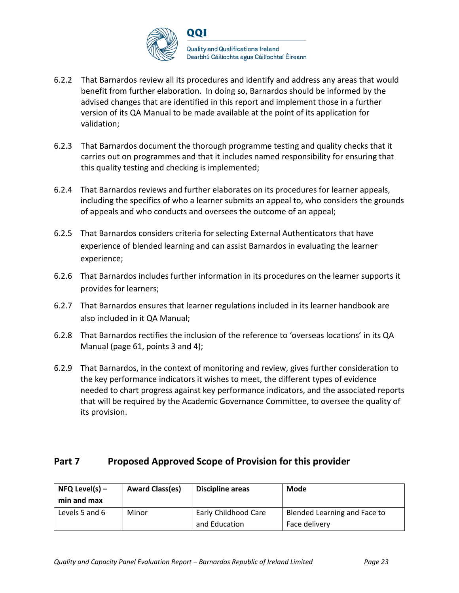

- 6.2.2 That Barnardos review all its procedures and identify and address any areas that would benefit from further elaboration. In doing so, Barnardos should be informed by the advised changes that are identified in this report and implement those in a further version of its QA Manual to be made available at the point of its application for validation;
- 6.2.3 That Barnardos document the thorough programme testing and quality checks that it carries out on programmes and that it includes named responsibility for ensuring that this quality testing and checking is implemented;
- 6.2.4 That Barnardos reviews and further elaborates on its procedures for learner appeals, including the specifics of who a learner submits an appeal to, who considers the grounds of appeals and who conducts and oversees the outcome of an appeal;
- 6.2.5 That Barnardos considers criteria for selecting External Authenticators that have experience of blended learning and can assist Barnardos in evaluating the learner experience;
- 6.2.6 That Barnardos includes further information in its procedures on the learner supports it provides for learners;
- 6.2.7 That Barnardos ensures that learner regulations included in its learner handbook are also included in it QA Manual;
- 6.2.8 That Barnardos rectifies the inclusion of the reference to 'overseas locations' in its QA Manual (page 61, points 3 and 4);
- 6.2.9 That Barnardos, in the context of monitoring and review, gives further consideration to the key performance indicators it wishes to meet, the different types of evidence needed to chart progress against key performance indicators, and the associated reports that will be required by the Academic Governance Committee, to oversee the quality of its provision.

## **Part 7 Proposed Approved Scope of Provision for this provider**

| $NFA$ Level(s) –<br>min and max | <b>Award Class(es)</b> | <b>Discipline areas</b>                      | Mode                                          |
|---------------------------------|------------------------|----------------------------------------------|-----------------------------------------------|
| Levels 5 and 6                  | Minor                  | <b>Early Childhood Care</b><br>and Education | Blended Learning and Face to<br>Face delivery |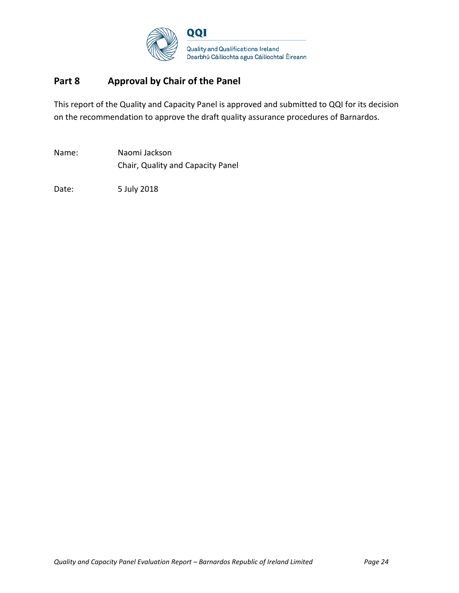

# **Part 8 Approval by Chair of the Panel**

This report of the Quality and Capacity Panel is approved and submitted to QQI for its decision on the recommendation to approve the draft quality assurance procedures of Barnardos.

Name: Naomi Jackson Chair, Quality and Capacity Panel

Date: 5 July 2018